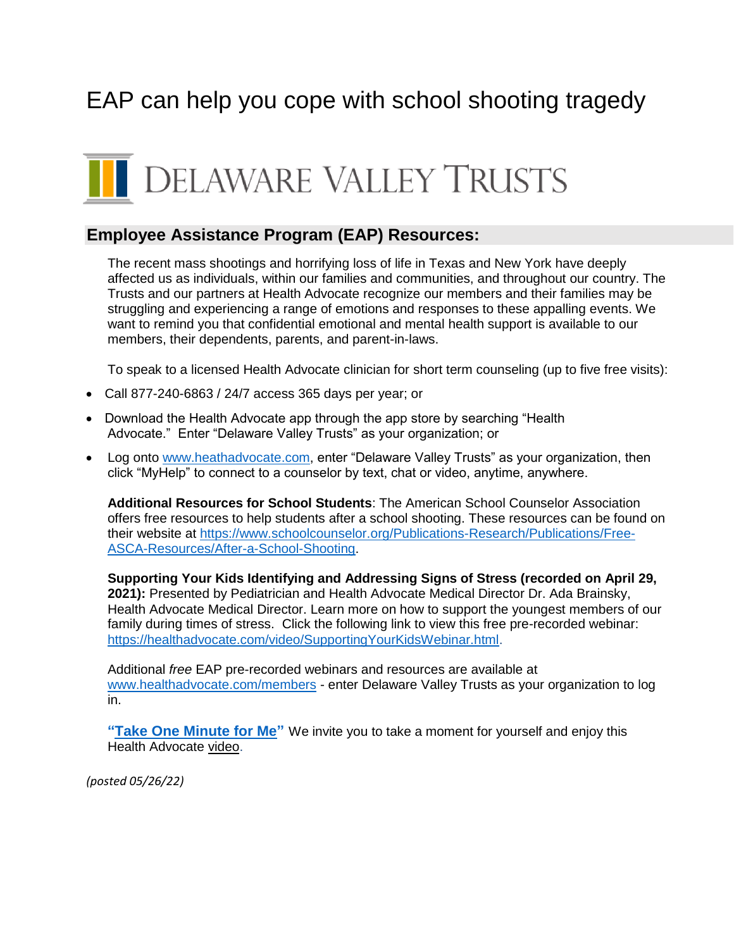## EAP can help you cope with school shooting tragedy

# **I** DELAWARE VALLEY TRUSTS

#### **[Employee Assistance Program](https://dvtrusts.com/eap/) (EAP) Resources:**

The recent mass shootings and horrifying loss of life in Texas and New York have deeply affected us as individuals, within our families and communities, and throughout our country. The Trusts and our partners at Health Advocate recognize our members and their families may be struggling and experiencing a range of emotions and responses to these appalling events. We want to remind you that confidential emotional and mental health support is available to our members, their dependents, parents, and parent-in-laws.

To speak to a licensed Health Advocate clinician for short term counseling (up to five free visits):

- Call 877-240-6863 / 24/7 access 365 days per year; or
- Download the Health Advocate app through the app store by searching "Health" Advocate." Enter "Delaware Valley Trusts" as your organization; or
- Log onto [www.heathadvocate.com,](http://www.heathadvocate.com/) enter "Delaware Valley Trusts" as your organization, then click "MyHelp" to connect to a counselor by text, chat or video, anytime, anywhere.

**Additional Resources for School Students**: The American School Counselor Association offers free resources to help students after a school shooting. These resources can be found on their website at [https://www.schoolcounselor.org/Publications-Research/Publications/Free-](https://www.schoolcounselor.org/Publications-Research/Publications/Free-ASCA-Resources/After-a-School-Shooting)[ASCA-Resources/After-a-School-Shooting.](https://www.schoolcounselor.org/Publications-Research/Publications/Free-ASCA-Resources/After-a-School-Shooting)

**Supporting Your Kids Identifying and Addressing Signs of Stress (recorded on April 29, 2021):** Presented by Pediatrician and Health Advocate Medical Director Dr. Ada Brainsky, Health Advocate Medical Director. Learn more on how to support the youngest members of our family during times of stress. Click the following link to view this free pre-recorded webinar: [https://healthadvocate.com/video/SupportingYourKidsWebinar.html.](https://healthadvocate.com/video/SupportingYourKidsWebinar.html)

Additional *free* EAP pre-recorded webinars and resources are available at [www.healthadvocate.com/members](http://www.healthadvocate.com/members) - enter Delaware Valley Trusts as your organization to log in.

**["Take One Minute for Me"](https://dvtrusts.com/wp-content/uploads/2022/04/ha-one-minute-for-me-1.mp4)** We invite you to take a moment for yourself and enjoy this Health Advocate [video.](https://dvtrusts.com/wp-content/uploads/2022/04/ha-one-minute-for-me-1.mp4)

*(posted 05/26/22)*